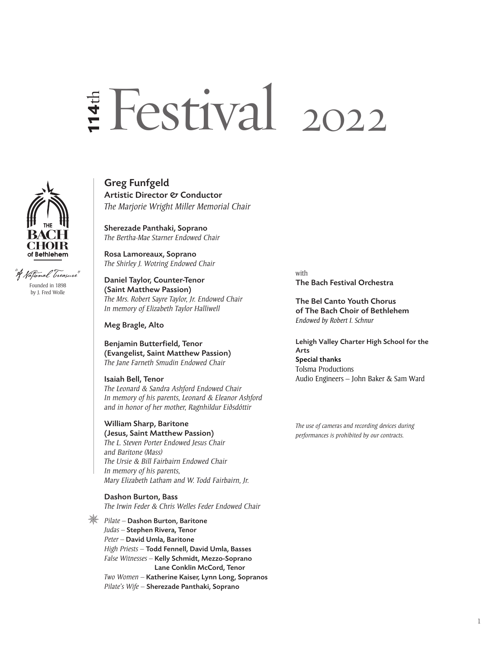# E Festival 2022 U**114**th



fational Treazure" Founded in 1898 by J. Fred Wolle

Greg Funfgeld Artistic Director & Conductor *The Marjorie Wright Miller Memorial Chair*

Sherezade Panthaki, Soprano *The Bertha-Mae Starner Endowed Chair*

Rosa Lamoreaux, Soprano *The Shirley J. Wotring Endowed Chair*

Daniel Taylor, Counter-Tenor (Saint Matthew Passion) *The Mrs. Robert Sayre Taylor, Jr. Endowed Chair In memory of Elizabeth Taylor Halliwell*

Meg Bragle, Alto

Benjamin Butterfield, Tenor (Evangelist, Saint Matthew Passion) *The Jane Farneth Smudin Endowed Chair*

Isaiah Bell, Tenor *The Leonard & Sandra Ashford Endowed Chair In memory of his parents, Leonard & Eleanor Ashford and in honor of her mother, Ragnhildur Eiðsdóttir*

# William Sharp, Baritone

(Jesus, Saint Matthew Passion) *The L. Steven Porter Endowed Jesus Chair and Baritone (Mass) The Ursie & Bill Fairbairn Endowed Chair In memory of his parents, Mary Elizabeth Latham and W. Todd Fairbairn, Jr.*

Dashon Burton, Bass *The Irwin Feder & Chris Welles Feder Endowed Chair*

*Pilate –* Dashon Burton, Baritone *Judas –* Stephen Rivera, Tenor *Peter –* David Umla, Baritone *High Priests –* Todd Fennell, David Umla, Basses *False Witnesses –* Kelly Schmidt, Mezzo-Soprano Lane Conklin McCord, Tenor *Two Women –* Katherine Kaiser, Lynn Long, Sopranos *Pilate's Wife –* Sherezade Panthaki, Soprano

with The Bach Festival Orchestra

The Bel Canto Youth Chorus of The Bach Choir of Bethlehem *Endowed by Robert I. Schnur*

Lehigh Valley Charter High School for the Arts Special thanks Tolsma Productions Audio Engineers – John Baker & Sam Ward

*The use of cameras and recording devices during performances is prohibited by our contracts.*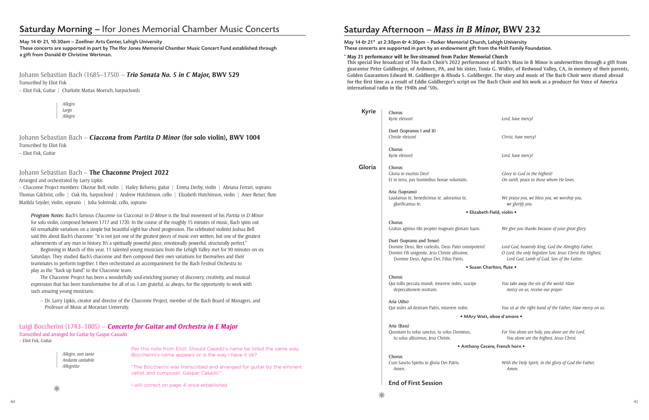# Saturday Afternoon – *Mass in B Minor,* **BWV** 232

# May 14 & 21\* at 2:30pm & 4:30pm - Packer Memorial Church, Lehigh University

These concerts are supported in part by an endowment gift from the Holt Family Foundation.

## **\* May 21 performance will be live-streamed from Packer Memorial Church**

**This special live broadcast of The Bach Choir's 2022 performance of Bach's Mass in B Minor is underwritten through a gift from guarantor Peter Goldberger, of Ardmore, PA, and his sister, Tonia G. Widler, of Redwood Valley, CA, in memory of their parents, Golden Guarantors Edward M. Goldberger & Rhoda S. Goldberger. The story and music of The Bach Choir were shared abroad for the first time as a result of Eddie Goldberger's script on The Bach Choir and his work as a producer for Voice of America international radio in the 1940s and '50s.**

| <b>Kyrie</b> | <b>Chorus</b>                                                                            |                                                                                                       |  |  |  |
|--------------|------------------------------------------------------------------------------------------|-------------------------------------------------------------------------------------------------------|--|--|--|
|              | Kyrie eleison!                                                                           | Lord, have mercy!                                                                                     |  |  |  |
|              | Duet (Sopranos I and II)                                                                 |                                                                                                       |  |  |  |
|              | Christe eleison!                                                                         | Christ, have mercy!                                                                                   |  |  |  |
|              | Chorus                                                                                   |                                                                                                       |  |  |  |
|              | Kyrie eleison!                                                                           | Lord, have mercy!                                                                                     |  |  |  |
| Gloria       | Chorus                                                                                   |                                                                                                       |  |  |  |
|              | Gloria in excelsis Deo!                                                                  | Glory to God in the highest!                                                                          |  |  |  |
|              | Et in terra, pax hominibus bonae voluntatis.                                             | On earth, peace to those whom He loves.                                                               |  |  |  |
|              | Aria (Soprano)                                                                           |                                                                                                       |  |  |  |
|              | Laudamus te, benedicimus te, adoramus te,<br>glorificamus te.                            | We praise you, we bless you, we worship you,<br>we glorify you.                                       |  |  |  |
|              | · Elizabeth Field, violin ·                                                              |                                                                                                       |  |  |  |
|              | <b>Chorus</b>                                                                            |                                                                                                       |  |  |  |
|              | Gratias agimus tibi propter magnam gloriam tuam.                                         | We give you thanks because of your great glory.                                                       |  |  |  |
|              | Duet (Soprano and Tenor)                                                                 |                                                                                                       |  |  |  |
|              | Domine Deus, Rex coelestis, Deus Pater omnipotens!                                       | Lord God, heavenly King, God the Almighty Father.                                                     |  |  |  |
|              | Domini Fili unigenite, Jesu Christe altissime,<br>Domine Deus, Agnus Dei, Filius Patris. | O Lord, the only begotten Son, Jesus Christ the Highest,<br>Lord God, Lamb of God, Son of the Father. |  |  |  |
|              | • Susan Charlton, flute •                                                                |                                                                                                       |  |  |  |
|              | Chorus                                                                                   |                                                                                                       |  |  |  |
|              | Qui tollis peccata mundi, miserere nobis, suscipe                                        | You take away the sin of the world: Have                                                              |  |  |  |
|              | deprecationem nostram.                                                                   | mercy on us, receive our prayer.                                                                      |  |  |  |
|              | Aria (Alto)                                                                              |                                                                                                       |  |  |  |
|              | Qui sedes ad dextram Patris, miserere nobis.                                             | You sit at the right hand of the Father; Have mercy on us.                                            |  |  |  |
|              | • MAry Watt, oboe d'amore •                                                              |                                                                                                       |  |  |  |
|              | Aria (Bass)                                                                              |                                                                                                       |  |  |  |
|              | Quoniam tu solus sanctus, tu solus Dominus,<br>tu solus altissimus, Jesu Christe.        | For You alone are holy, you alone are the Lord,<br>You alone are the highest, Jesus Christ.           |  |  |  |
|              | • Anthony Cecere, French horn •                                                          |                                                                                                       |  |  |  |
|              | Chorus                                                                                   |                                                                                                       |  |  |  |
|              | Cum Sancto Spiritu in gloria Dei Patris.<br>Amen.                                        | With the Holy Spirit, in the glory of God the Father.<br>Amen.                                        |  |  |  |
|              |                                                                                          |                                                                                                       |  |  |  |

 $\mathbb{R}$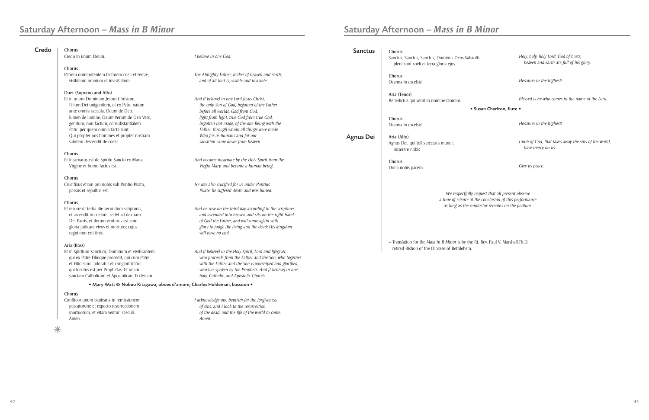Amen.

| Credo | Chorus                                                                       |                                                                                 | <b>Sanctus</b>   | Chorus                                                       |
|-------|------------------------------------------------------------------------------|---------------------------------------------------------------------------------|------------------|--------------------------------------------------------------|
|       | Credo in unum Deum.                                                          | I believe in one God.                                                           |                  | Sanctus, Sanctus, Sanctus, Dominus Deus Sabaoth,             |
|       |                                                                              |                                                                                 |                  | pleni sunt coeli et terra gloria ejus.                       |
|       | Chorus<br>Patrem omnipotentem factorem coeli et terrae,                      | The Almighty Father, maker of heaven and earth,                                 |                  |                                                              |
|       | visibilium omnium et invisibilium.                                           | and of all that is, visible and invisible.                                      |                  | Chorus<br>Osanna in excelsis!                                |
|       |                                                                              |                                                                                 |                  |                                                              |
|       | Duet (Soprano and Alto)                                                      |                                                                                 |                  | Aria (Tenor)                                                 |
|       | Et in unum Dominum Jesum Christum,                                           | And (I believe) in one Lord Jesus Christ,                                       |                  | Benedictus qui venit in nomine Domini.                       |
|       | Filium Dei unigenitum, et ex Patre natum<br>ante omnia saecula, Deum de Deo, | the only Son of God, begotten of the Father<br>before all worlds, God from God, |                  | • Sus                                                        |
|       | lumen de lumine, Deum Verum de Deo Vero,                                     | light from light, true God from true God;                                       |                  |                                                              |
|       | genitum, non factum, consubstantialem                                        | begotten not made; of the one Being with the                                    |                  | Chorus<br>Osanna in excelsis!                                |
|       | Patri, per quem omnia facta sunt.                                            | Father, through whom all things were made.                                      |                  |                                                              |
|       | Qui propter nos homines et propter nostram                                   | Who for us humans and for our                                                   | <b>Agnus Dei</b> | Aria (Alto)                                                  |
|       | salutem descendit de coelis.                                                 | salvation came down from heaven.                                                |                  | Agnus Dei, qui tollis peccata mundi,<br>miserere nobis       |
|       | Chorus                                                                       |                                                                                 |                  |                                                              |
|       | Et incarnatus est de Spiritu Sancto ex Maria                                 | And became incarnate by the Holy Spirit from the                                |                  | Chorus                                                       |
|       | Virgine et homo factus est.                                                  | Virgin Mary, and became a human being.                                          |                  | Dona nobis pacem.                                            |
|       | Chorus                                                                       |                                                                                 |                  |                                                              |
|       | Crucifixus etiam pro nobis sub Pontio Pilato,                                | He was also crucified for us under Pontius                                      |                  |                                                              |
|       | passus et sepultus est.                                                      | Pilate; he suffered death and was buried.                                       |                  | We respectfully req.                                         |
|       | Chorus                                                                       |                                                                                 |                  | a time of silence at the                                     |
|       | Et resurrexit tertia die secundum scripturas,                                | And he rose on the third day according to the scriptures,                       |                  | as long as the condu                                         |
|       | et ascendit in coelum, sedet ad dextram                                      | and ascended into heaven and sits on the right hand                             |                  |                                                              |
|       | Dei Patris, et iterum venturus est cum                                       | of God the Father, and will come again with                                     |                  |                                                              |
|       | gloria judicare vivos et mortuos; cujus                                      | glory to judge the living and the dead; His kingdom                             |                  |                                                              |
|       | regni non erit finis.                                                        | will have no end.                                                               |                  |                                                              |
|       | Aria (Bass)                                                                  |                                                                                 |                  | $-$ Translation for the <i>Mass in B Minor</i> is by the Rt. |
|       | Et in Spiritum Sanctum, Dominum et vivificantem                              | And [I believe] in the Holy Spirit, Lord and lifegiver,                         |                  | retired Bishop of the Diocese of Bethlehem.                  |
|       | qui ex Patre Filioque procedit, qui cum Patre                                | who proceeds from the Father and the Son, who together                          |                  |                                                              |
|       | et Filio simul adoratur et conglorificatur,                                  | with the Father and the Son is worshiped and glorified,                         |                  |                                                              |
|       | qui locutus est per Prophetas. Et unam                                       | who has spoken by the Prophets. And [I believe] in one                          |                  |                                                              |
|       | sanctam Catholicam et Apostolicam Ecclesiam.                                 | holy, Catholic, and Apostolic Church.                                           |                  |                                                              |
|       | · Mary Watt & Nobuo Kitagawa, oboes d'amore; Charles Holdeman, bassoon .     |                                                                                 |                  |                                                              |
|       | Chorus                                                                       |                                                                                 |                  |                                                              |
|       | Confiteor unum baptisma in remissionem                                       | I acknowledge one baptism for the forgiveness                                   |                  |                                                              |
|       | peccatorum: et expecto resurrectionem                                        | of sins, and I look to the resurrection                                         |                  |                                                              |
|       | mortuorum, et vitam venturi saeculi.                                         | of the dead, and the life of the world to come.                                 |                  |                                                              |

 *Amen.*

 $*$ 

| эth,                    | Holy, holy, holy Lord, God of hosts,<br>heaven and earth are full of his glory. |
|-------------------------|---------------------------------------------------------------------------------|
|                         | Hosanna in the highest!                                                         |
| Susan Charlton, flute • | Blessed is he who comes in the name of the Lord.                                |
|                         | Hosanna in the highest!                                                         |
|                         | Lamb of God, that takes away the sins of the world,<br>have mercy on us.        |
|                         | Give us peace.                                                                  |

*We respectfully request that all present observe a time of silence at the conclusion of this performance as long as the conductor remains on the podium.*

– Translation for the *Mass in B Minor* is by the Rt. Rev. Paul V. Marshall,Th.D.,